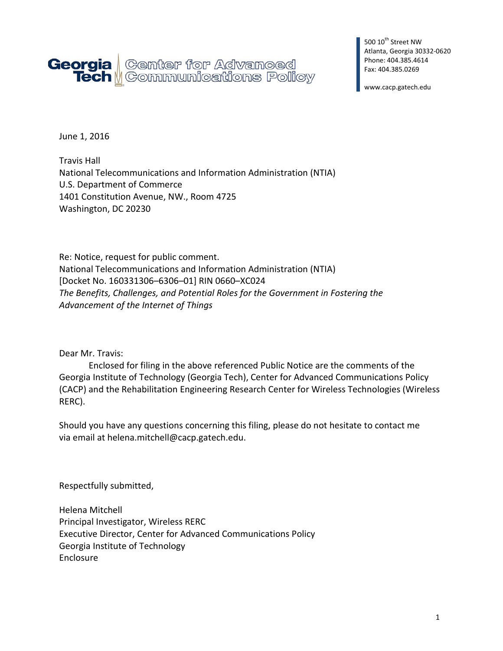

500 10<sup>th</sup> Street NW Atlanta, Georgia 30332-0620 Phone: 404.385.4614 Fax: 404.385.0269

www.cacp.gatech.edu

June 1, 2016

Travis Hall National Telecommunications and Information Administration (NTIA) U.S. Department of Commerce 1401 Constitution Avenue, NW., Room 4725 Washington, DC 20230

Re: Notice, request for public comment. National Telecommunications and Information Administration (NTIA) [Docket No. 160331306–6306–01] RIN 0660–XC024 *The Benefits, Challenges, and Potential Roles for the Government in Fostering the Advancement of the Internet of Things*

Dear Mr. Travis:

Enclosed for filing in the above referenced Public Notice are the comments of the Georgia Institute of Technology (Georgia Tech), Center for Advanced Communications Policy (CACP) and the Rehabilitation Engineering Research Center for Wireless Technologies (Wireless RERC).

Should you have any questions concerning this filing, please do not hesitate to contact me via email at helena.mitchell@cacp.gatech.edu.

Respectfully submitted,

Helena Mitchell Principal Investigator, Wireless RERC Executive Director, Center for Advanced Communications Policy Georgia Institute of Technology Enclosure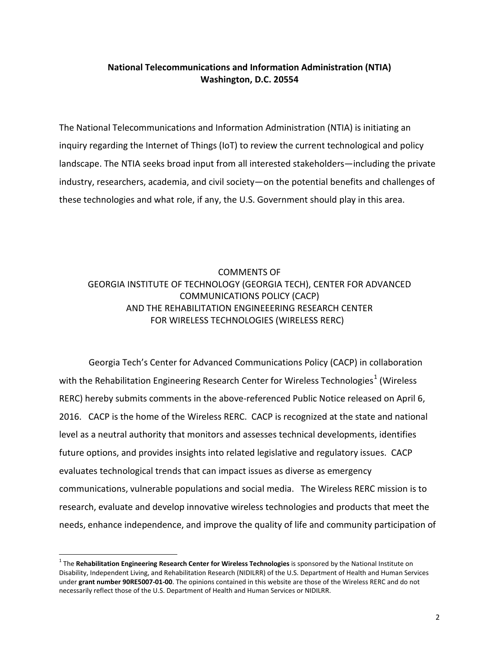## **National Telecommunications and Information Administration (NTIA) Washington, D.C. 20554**

The National Telecommunications and Information Administration (NTIA) is initiating an inquiry regarding the Internet of Things (IoT) to review the current technological and policy landscape. The NTIA seeks broad input from all interested stakeholders—including the private industry, researchers, academia, and civil society—on the potential benefits and challenges of these technologies and what role, if any, the U.S. Government should play in this area.

## COMMENTS OF GEORGIA INSTITUTE OF TECHNOLOGY (GEORGIA TECH), CENTER FOR ADVANCED COMMUNICATIONS POLICY (CACP) AND THE REHABILITATION ENGINEEERING RESEARCH CENTER FOR WIRELESS TECHNOLOGIES (WIRELESS RERC)

Georgia Tech's Center for Advanced Communications Policy (CACP) in collaboration with the Rehabilitation Engineering Research Center for Wireless Technologies<sup>[1](#page-1-0)</sup> (Wireless RERC) hereby submits comments in the above-referenced Public Notice released on April 6, 2016. CACP is the home of the Wireless RERC. CACP is recognized at the state and national level as a neutral authority that monitors and assesses technical developments, identifies future options, and provides insights into related legislative and regulatory issues. CACP evaluates technological trends that can impact issues as diverse as emergency communications, vulnerable populations and social media. The Wireless RERC mission is to research, evaluate and develop innovative wireless technologies and products that meet the needs, enhance independence, and improve the quality of life and community participation of

<span id="page-1-0"></span><sup>1</sup> The **Rehabilitation Engineering Research Center for Wireless Technologies** is sponsored by the National Institute on Disability, Independent Living, and Rehabilitation Research (NIDILRR) of the U.S. Department of Health and Human Services under **grant number 90RE5007-01-00**. The opinions contained in this website are those of the Wireless RERC and do not necessarily reflect those of the U.S. Department of Health and Human Services or NIDILRR.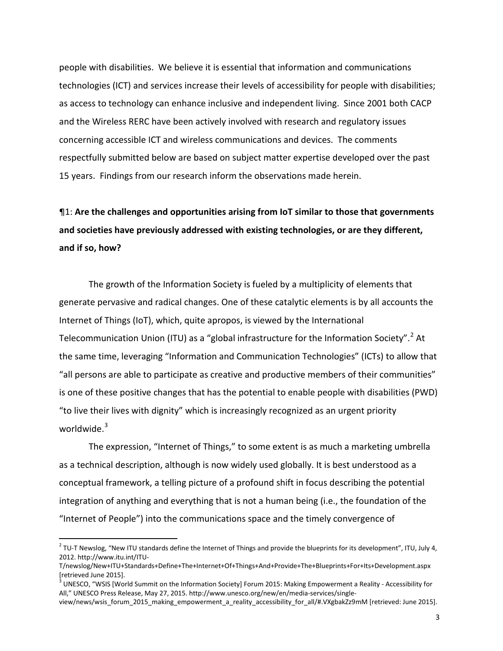people with disabilities. We believe it is essential that information and communications technologies (ICT) and services increase their levels of accessibility for people with disabilities; as access to technology can enhance inclusive and independent living. Since 2001 both CACP and the Wireless RERC have been actively involved with research and regulatory issues concerning accessible ICT and wireless communications and devices. The comments respectfully submitted below are based on subject matter expertise developed over the past 15 years. Findings from our research inform the observations made herein.

## ¶1: **Are the challenges and opportunities arising from IoT similar to those that governments and societies have previously addressed with existing technologies, or are they different, and if so, how?**

The growth of the Information Society is fueled by a multiplicity of elements that generate pervasive and radical changes. One of these catalytic elements is by all accounts the Internet of Things (IoT), which, quite apropos, is viewed by the International Telecommunication Union (ITU) as a "global infrastructure for the Information Society".<sup>[2](#page-2-0)</sup> At the same time, leveraging "Information and Communication Technologies" (ICTs) to allow that "all persons are able to participate as creative and productive members of their communities" is one of these positive changes that has the potential to enable people with disabilities (PWD) "to live their lives with dignity" which is increasingly recognized as an urgent priority worldwide. $^3$  $^3$ 

The expression, "Internet of Things," to some extent is as much a marketing umbrella as a technical description, although is now widely used globally. It is best understood as a conceptual framework, a telling picture of a profound shift in focus describing the potential integration of anything and everything that is not a human being (i.e., the foundation of the "Internet of People") into the communications space and the timely convergence of

<span id="page-2-0"></span> $2$  TU-T Newslog, "New ITU standards define the Internet of Things and provide the blueprints for its development", ITU, July 4, 2012. http://www.itu.int/ITU-

T/newslog/New+ITU+Standards+Define+The+Internet+Of+Things+And+Provide+The+Blueprints+For+Its+Development.aspx [retrieved June 2015].

<span id="page-2-1"></span> $3$  UNESCO, "WSIS [World Summit on the Information Society] Forum 2015: Making Empowerment a Reality - Accessibility for All," UNESCO Press Release, May 27, 2015. http://www.unesco.org/new/en/media-services/single-

view/news/wsis\_forum\_2015\_making\_empowerment\_a\_reality\_accessibility\_for\_all/#.VXgbakZz9mM [retrieved: June 2015].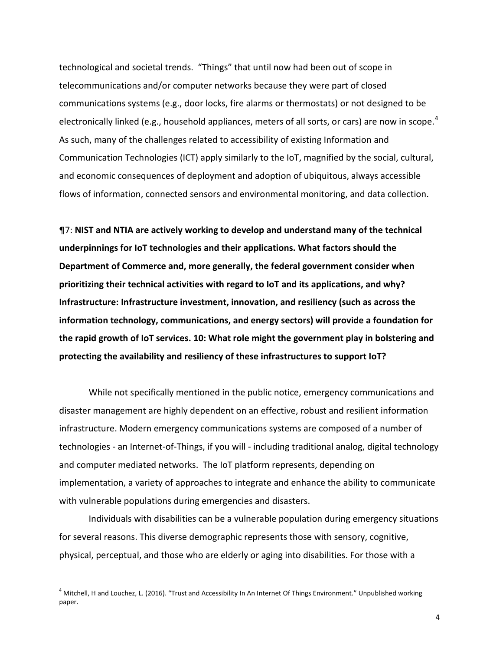technological and societal trends. "Things" that until now had been out of scope in telecommunications and/or computer networks because they were part of closed communications systems (e.g., door locks, fire alarms or thermostats) or not designed to be electronically linked (e.g., household appliances, meters of all sorts, or cars) are now in scope.<sup>[4](#page-3-0)</sup> As such, many of the challenges related to accessibility of existing Information and Communication Technologies (ICT) apply similarly to the IoT, magnified by the social, cultural, and economic consequences of deployment and adoption of ubiquitous, always accessible flows of information, connected sensors and environmental monitoring, and data collection.

¶7: **NIST and NTIA are actively working to develop and understand many of the technical underpinnings for IoT technologies and their applications. What factors should the Department of Commerce and, more generally, the federal government consider when prioritizing their technical activities with regard to IoT and its applications, and why? Infrastructure: Infrastructure investment, innovation, and resiliency (such as across the information technology, communications, and energy sectors) will provide a foundation for the rapid growth of IoT services. 10: What role might the government play in bolstering and protecting the availability and resiliency of these infrastructures to support IoT?** 

While not specifically mentioned in the public notice, emergency communications and disaster management are highly dependent on an effective, robust and resilient information infrastructure. Modern emergency communications systems are composed of a number of technologies - an Internet-of-Things, if you will - including traditional analog, digital technology and computer mediated networks. The IoT platform represents, depending on implementation, a variety of approaches to integrate and enhance the ability to communicate with vulnerable populations during emergencies and disasters.

Individuals with disabilities can be a vulnerable population during emergency situations for several reasons. This diverse demographic represents those with sensory, cognitive, physical, perceptual, and those who are elderly or aging into disabilities. For those with a

<span id="page-3-0"></span> $^4$  Mitchell, H and Louchez, L. (2016). "Trust and Accessibility In An Internet Of Things Environment." Unpublished working paper.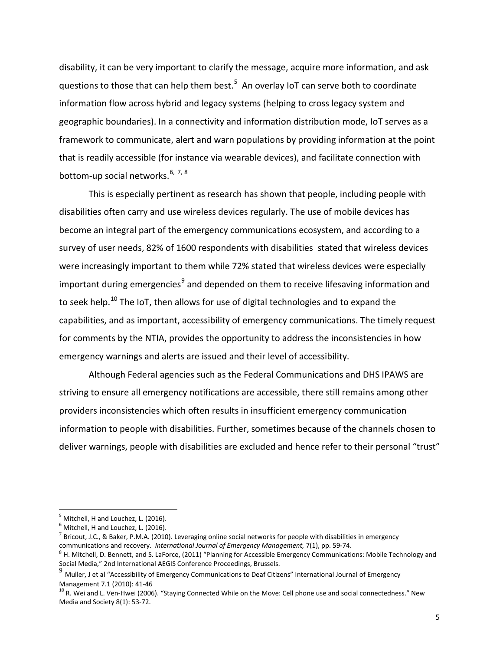disability, it can be very important to clarify the message, acquire more information, and ask questions to those that can help them best.<sup>[5](#page-4-0)</sup> An overlay IoT can serve both to coordinate information flow across hybrid and legacy systems (helping to cross legacy system and geographic boundaries). In a connectivity and information distribution mode, IoT serves as a framework to communicate, alert and warn populations by providing information at the point that is readily accessible (for instance via wearable devices), and facilitate connection with bottom-up social networks.<sup>[6,](#page-4-1) [7](#page-4-2), [8](#page-4-3)</sup>

This is especially pertinent as research has shown that people, including people with disabilities often carry and use wireless devices regularly. The use of mobile devices has become an integral part of the emergency communications ecosystem, and according to a survey of user needs, 82% of 1600 respondents with disabilities stated that wireless devices were increasingly important to them while 72% stated that wireless devices were especially important during emergencies<sup>[9](#page-4-4)</sup> and depended on them to receive lifesaving information and to seek help.<sup>[10](#page-4-5)</sup> The IoT, then allows for use of digital technologies and to expand the capabilities, and as important, accessibility of emergency communications. The timely request for comments by the NTIA, provides the opportunity to address the inconsistencies in how emergency warnings and alerts are issued and their level of accessibility.

Although Federal agencies such as the Federal Communications and DHS IPAWS are striving to ensure all emergency notifications are accessible, there still remains among other providers inconsistencies which often results in insufficient emergency communication information to people with disabilities. Further, sometimes because of the channels chosen to deliver warnings, people with disabilities are excluded and hence refer to their personal "trust"

<span id="page-4-0"></span> $^5$  Mitchell, H and Louchez, L. (2016).<br> $^6$  Mitchell, H and Louchez, L. (2016).

<span id="page-4-1"></span>

<span id="page-4-2"></span> $^7$  Bricout, J.C., & Baker, P.M.A. (2010). Leveraging online social networks for people with disabilities in emergency communications and recovery. *International Journal of Emergency Management,* 7(1), pp. 59-74.

<span id="page-4-3"></span> $8$  H. Mitchell, D. Bennett, and S. LaForce, (2011) "Planning for Accessible Emergency Communications: Mobile Technology and Social Media," 2nd International AEGIS Conference Proceedings, Brussels.

<span id="page-4-4"></span><sup>9</sup> Muller, J et al "Accessibility of Emergency Communications to Deaf Citizens" International Journal of Emergency Management 7.1 (2010): 41-46<br><sup>10</sup> R. Wei and L. Ven-Hwei (2006). "Staying Connected While on the Move: Cell phone use and social connectedness." New

<span id="page-4-5"></span>Media and Society 8(1): 53-72.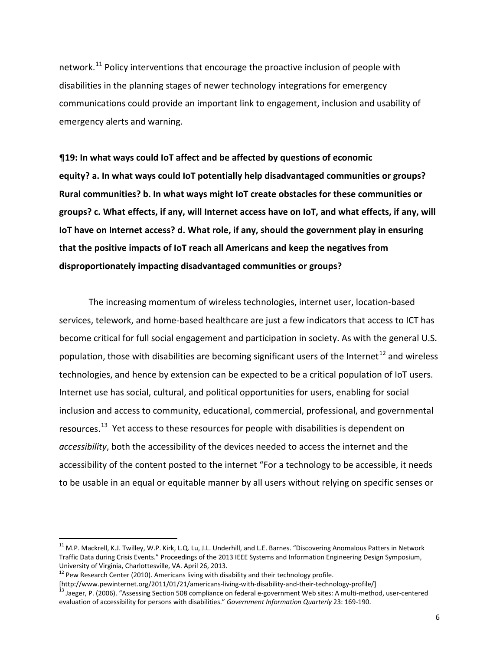network.<sup>[11](#page-5-0)</sup> Policy interventions that encourage the proactive inclusion of people with disabilities in the planning stages of newer technology integrations for emergency communications could provide an important link to engagement, inclusion and usability of emergency alerts and warning.

¶**19: In what ways could IoT affect and be affected by questions of economic equity? a. In what ways could IoT potentially help disadvantaged communities or groups? Rural communities? b. In what ways might IoT create obstacles for these communities or groups? c. What effects, if any, will Internet access have on IoT, and what effects, if any, will IoT have on Internet access? d. What role, if any, should the government play in ensuring that the positive impacts of IoT reach all Americans and keep the negatives from disproportionately impacting disadvantaged communities or groups?**

The increasing momentum of wireless technologies, internet user, location-based services, telework, and home-based healthcare are just a few indicators that access to ICT has become critical for full social engagement and participation in society. As with the general U.S. population, those with disabilities are becoming significant users of the Internet<sup>[12](#page-5-1)</sup> and wireless technologies, and hence by extension can be expected to be a critical population of IoT users. Internet use has social, cultural, and political opportunities for users, enabling for social inclusion and access to community, educational, commercial, professional, and governmental resources.<sup>[13](#page-5-2)</sup> Yet access to these resources for people with disabilities is dependent on *accessibility*, both the accessibility of the devices needed to access the internet and the accessibility of the content posted to the internet "For a technology to be accessible, it needs to be usable in an equal or equitable manner by all users without relying on specific senses or

<span id="page-5-0"></span><sup>11</sup> M.P. Mackrell, K.J. Twilley, W.P. Kirk, L.Q. Lu, J.L. Underhill, and L.E. Barnes. "Discovering Anomalous Patters in Network Traffic Data during Crisis Events." Proceedings of the 2013 IEEE Systems and Information Engineering Design Symposium, University of Virginia, Charlottesville, VA. April 26, 2013.

<span id="page-5-1"></span><sup>&</sup>lt;sup>12</sup> Pew Research Center (2010). Americans living with disability and their technology profile.<br>[http://www.pewinternet.org/2011/01/21/americans-living-with-disability-and-their-technology-profile/]

<span id="page-5-2"></span><sup>&</sup>lt;sup>13</sup> Jaeger, P. (2006). "Assessing Section 508 compliance on federal e-government Web sites: A multi-method, user-centered evaluation of accessibility for persons with disabilities." *Government Information Quarterly* 23: 169-190.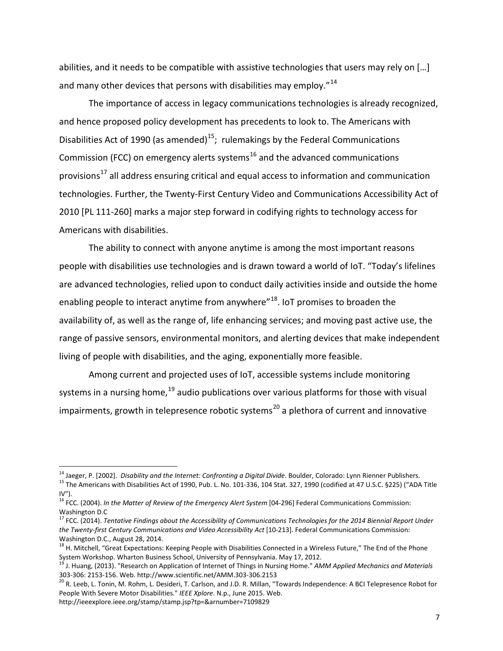abilities, and it needs to be compatible with assistive technologies that users may rely on […] and many other devices that persons with disabilities may employ."<sup>[14](#page-6-0)</sup>

The importance of access in legacy communications technologies is already recognized, and hence proposed policy development has precedents to look to. The Americans with Disabilities Act of 1990 (as amended)<sup>[15](#page-6-1)</sup>; rulemakings by the Federal Communications Commission (FCC) on emergency alerts systems<sup>[16](#page-6-2)</sup> and the advanced communications provisions<sup>[17](#page-6-3)</sup> all address ensuring critical and equal access to information and communication technologies. Further, the Twenty-First Century Video and Communications Accessibility Act of 2010 [PL 111-260] marks a major step forward in codifying rights to technology access for Americans with disabilities.

The ability to connect with anyone anytime is among the most important reasons people with disabilities use technologies and is drawn toward a world of IoT. "Today's lifelines are advanced technologies, relied upon to conduct daily activities inside and outside the home enabling people to interact anytime from anywhere"<sup>18</sup>. IoT promises to broaden the availability of, as well as the range of, life enhancing services; and moving past active use, the range of passive sensors, environmental monitors, and alerting devices that make independent living of people with disabilities, and the aging, exponentially more feasible.

Among current and projected uses of IoT, accessible systems include monitoring systems in a nursing home,<sup>[19](#page-6-5)</sup> audio publications over various platforms for those with visual impairments, growth in telepresence robotic systems<sup>[20](#page-6-6)</sup> a plethora of current and innovative

http://ieeexplore.ieee.org/stamp/stamp.jsp?tp=&arnumber=7109829

<span id="page-6-1"></span><span id="page-6-0"></span><sup>&</sup>lt;sup>14</sup> Jaeger, P. [2002]. *Disability and the Internet: Confronting a Digital Divide*. Boulder, Colorado: Lynn Rienner Publishers.<br><sup>15</sup> The Americans with Disabilities Act of 1990, Pub. L. No. 101-336, 104 Stat. 327, 1990 (  $IV''$ ).

<span id="page-6-2"></span><sup>&</sup>lt;sup>16</sup> FCC. (2004). *In the Matter of Review of the Emergency Alert System* [04-296] Federal Communications Commission: Washington D.C

<span id="page-6-3"></span><sup>17</sup> FCC. (2014). *Tentative Findings about the Accessibility of Communications Technologies for the 2014 Biennial Report Under*  the Twenty-first Century Communications and Video Accessibility Act [10-213]. Federal Communications Commission: Washington D.C., August 28, 2014.

<span id="page-6-4"></span><sup>&</sup>lt;sup>18</sup> H. Mitchell, "Great Expectations: Keeping People with Disabilities Connected in a Wireless Future," The End of the Phone System Workshop. Wharton Business School, University of Pennsylvania. May 17, 2012.

<span id="page-6-5"></span><sup>19</sup> J. Huang, (2013). "Research on Application of Internet of Things in Nursing Home." *AMM Applied Mechanics and Materials* 303-306: 2153-156. Web. http://www.scientific.net/AMM.303-306.2153<br><sup>20</sup> R. Leeb, L. Tonin, M. Rohm, L. Desideri, T. Carlson, and J.D. R. Millan, "Towards Independence: A BCI Telepresence Robot for

<span id="page-6-6"></span>People With Severe Motor Disabilities." *IEEE Xplore*. N.p., June 2015. Web.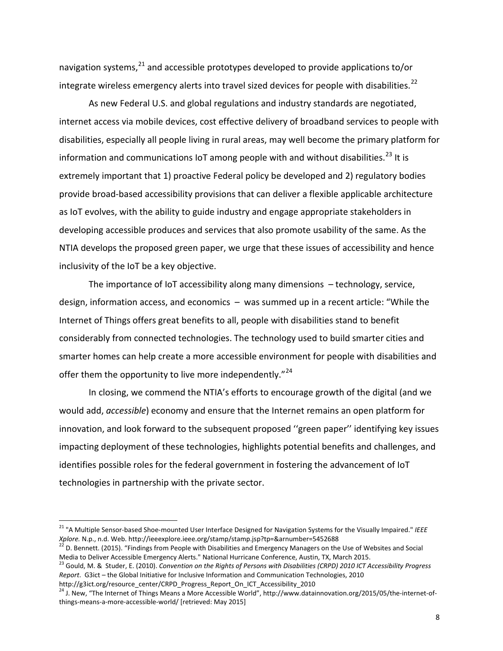navigation systems,<sup>[21](#page-7-0)</sup> and accessible prototypes developed to provide applications to/or integrate wireless emergency alerts into travel sized devices for people with disabilities.<sup>[22](#page-7-1)</sup>

As new Federal U.S. and global regulations and industry standards are negotiated, internet access via mobile devices, cost effective delivery of broadband services to people with disabilities, especially all people living in rural areas, may well become the primary platform for information and communications IoT among people with and without disabilities.<sup>[23](#page-7-2)</sup> It is extremely important that 1) proactive Federal policy be developed and 2) regulatory bodies provide broad-based accessibility provisions that can deliver a flexible applicable architecture as IoT evolves, with the ability to guide industry and engage appropriate stakeholders in developing accessible produces and services that also promote usability of the same. As the NTIA develops the proposed green paper, we urge that these issues of accessibility and hence inclusivity of the IoT be a key objective.

The importance of IoT accessibility along many dimensions – technology, service, design, information access, and economics – was summed up in a recent article: "While the Internet of Things offers great benefits to all, people with disabilities stand to benefit considerably from connected technologies. The technology used to build smarter cities and smarter homes can help create a more accessible environment for people with disabilities and offer them the opportunity to live more independently."<sup>[24](#page-7-3)</sup>

In closing, we commend the NTIA's efforts to encourage growth of the digital (and we would add, *accessible*) economy and ensure that the Internet remains an open platform for innovation, and look forward to the subsequent proposed ''green paper'' identifying key issues impacting deployment of these technologies, highlights potential benefits and challenges, and identifies possible roles for the federal government in fostering the advancement of IoT technologies in partnership with the private sector.

<span id="page-7-0"></span><sup>&</sup>lt;sup>21</sup> "A Multiple Sensor-based Shoe-mounted User Interface Designed for Navigation Systems for the Visually Impaired." *IEEE*<br>Xplore. N.p., n.d. Web. http://ieeexplore.ieee.org/stamp/stamp.jsp?tp=&arnumber=5452688

<span id="page-7-1"></span><sup>&</sup>lt;sup>22</sup> D. Bennett. (2015). "Findings from People with Disabilities and Emergency Managers on the Use of Websites and Social Media to Deliver Accessible Emergency Alerts." National Hurricane Conference, Austin, TX, March 2015.<br><sup>23</sup> Gould, M. & Studer, E. (2010). Convention on the Rights of Persons with Disabilities (CRPD) 2010 ICT Accessibility

<span id="page-7-2"></span>*Report*. G3ict – the Global Initiative for Inclusive Information and Communication Technologies, 2010

http://g3ict.org/resource\_center/CRPD\_Progress\_Report\_On\_ICT\_Accessibility\_2010

<span id="page-7-3"></span><sup>&</sup>lt;sup>24</sup> J. New, "The Internet of Things Means a More Accessible World", http://www.datainnovation.org/2015/05/the-internet-ofthings-means-a-more-accessible-world/ [retrieved: May 2015]